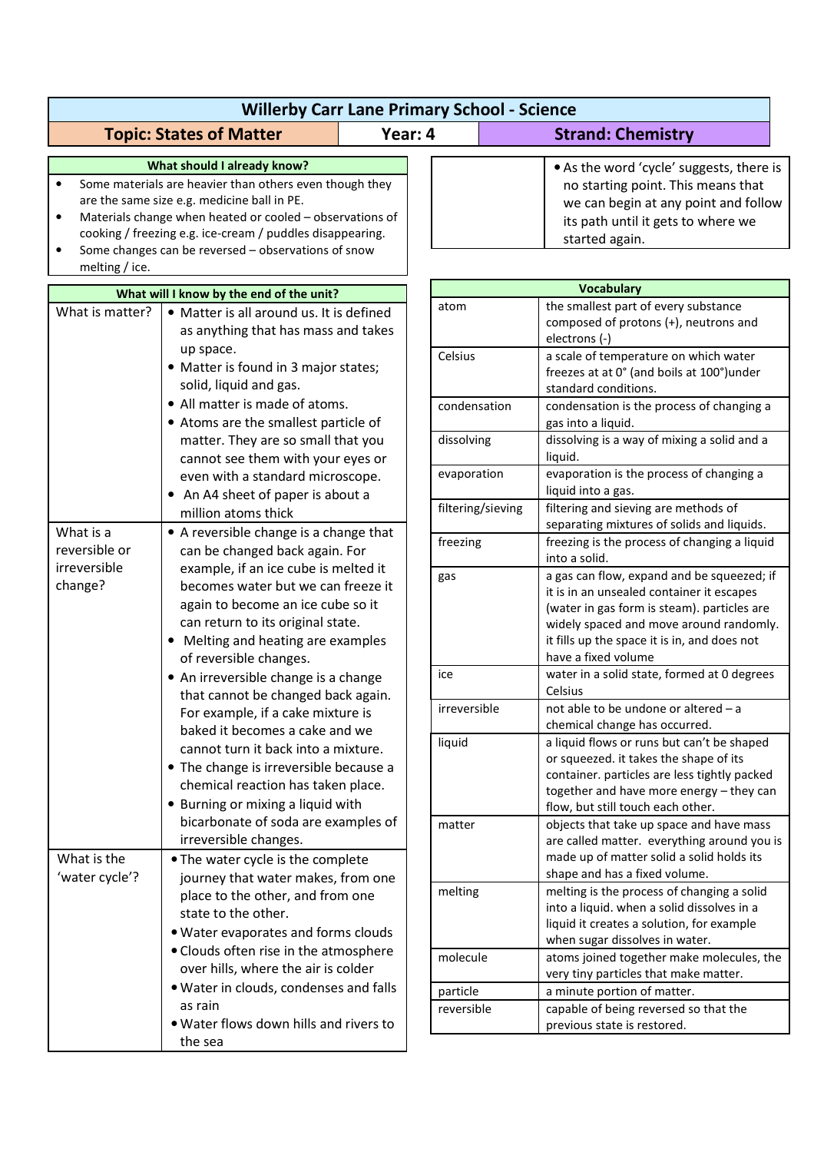| <b>Willerby Carr Lane Primary School - Science</b> |                                                                                                                                                                                                                                                                                                                                                                                                                                                                                                                                                                              |         |                        |                                                                                                                                                                                                                                                                   |  |  |
|----------------------------------------------------|------------------------------------------------------------------------------------------------------------------------------------------------------------------------------------------------------------------------------------------------------------------------------------------------------------------------------------------------------------------------------------------------------------------------------------------------------------------------------------------------------------------------------------------------------------------------------|---------|------------------------|-------------------------------------------------------------------------------------------------------------------------------------------------------------------------------------------------------------------------------------------------------------------|--|--|
|                                                    | <b>Topic: States of Matter</b>                                                                                                                                                                                                                                                                                                                                                                                                                                                                                                                                               | Year: 4 |                        | <b>Strand: Chemistry</b>                                                                                                                                                                                                                                          |  |  |
| $\bullet$<br>$\bullet$<br>melting / ice.           | What should I already know?<br>Some materials are heavier than others even though they<br>are the same size e.g. medicine ball in PE.<br>Materials change when heated or cooled - observations of<br>cooking / freezing e.g. ice-cream / puddles disappearing.<br>Some changes can be reversed - observations of snow                                                                                                                                                                                                                                                        |         |                        | • As the word 'cycle' suggests, there is<br>no starting point. This means that<br>we can begin at any point and follow<br>its path until it gets to where we<br>started again.                                                                                    |  |  |
|                                                    | What will I know by the end of the unit?                                                                                                                                                                                                                                                                                                                                                                                                                                                                                                                                     |         |                        | <b>Vocabulary</b>                                                                                                                                                                                                                                                 |  |  |
| What is matter?                                    | • Matter is all around us. It is defined<br>as anything that has mass and takes<br>up space.<br>• Matter is found in 3 major states;<br>solid, liquid and gas.                                                                                                                                                                                                                                                                                                                                                                                                               |         | atom<br>Celsius        | the smallest part of every substance<br>composed of protons (+), neutrons and<br>electrons (-)<br>a scale of temperature on which water<br>freezes at at 0° (and boils at 100°)under<br>standard conditions.                                                      |  |  |
|                                                    | • All matter is made of atoms.<br>• Atoms are the smallest particle of<br>matter. They are so small that you<br>cannot see them with your eyes or<br>even with a standard microscope.<br>• An A4 sheet of paper is about a                                                                                                                                                                                                                                                                                                                                                   |         | condensation           | condensation is the process of changing a<br>gas into a liquid.                                                                                                                                                                                                   |  |  |
|                                                    |                                                                                                                                                                                                                                                                                                                                                                                                                                                                                                                                                                              |         | dissolving             | dissolving is a way of mixing a solid and a<br>liquid.                                                                                                                                                                                                            |  |  |
|                                                    |                                                                                                                                                                                                                                                                                                                                                                                                                                                                                                                                                                              |         | evaporation            | evaporation is the process of changing a<br>liquid into a gas.                                                                                                                                                                                                    |  |  |
| What is a                                          | million atoms thick<br>• A reversible change is a change that                                                                                                                                                                                                                                                                                                                                                                                                                                                                                                                |         | filtering/sieving      | filtering and sieving are methods of<br>separating mixtures of solids and liquids.                                                                                                                                                                                |  |  |
| reversible or<br>irreversible<br>change?           | can be changed back again. For                                                                                                                                                                                                                                                                                                                                                                                                                                                                                                                                               |         | freezing               | freezing is the process of changing a liquid<br>into a solid.                                                                                                                                                                                                     |  |  |
|                                                    | example, if an ice cube is melted it<br>becomes water but we can freeze it<br>again to become an ice cube so it<br>can return to its original state.<br>• Melting and heating are examples<br>of reversible changes.<br>• An irreversible change is a change<br>that cannot be changed back again.<br>For example, if a cake mixture is<br>baked it becomes a cake and we<br>cannot turn it back into a mixture.<br>• The change is irreversible because a<br>chemical reaction has taken place.<br>• Burning or mixing a liquid with<br>bicarbonate of soda are examples of |         | gas                    | a gas can flow, expand and be squeezed; if<br>it is in an unsealed container it escapes<br>(water in gas form is steam). particles are<br>widely spaced and move around randomly.<br>it fills up the space it is in, and does not<br>have a fixed volume          |  |  |
|                                                    |                                                                                                                                                                                                                                                                                                                                                                                                                                                                                                                                                                              |         | ice                    | water in a solid state, formed at 0 degrees<br>Celsius                                                                                                                                                                                                            |  |  |
|                                                    |                                                                                                                                                                                                                                                                                                                                                                                                                                                                                                                                                                              |         | irreversible           | not able to be undone or altered – a<br>chemical change has occurred.                                                                                                                                                                                             |  |  |
|                                                    |                                                                                                                                                                                                                                                                                                                                                                                                                                                                                                                                                                              |         | liquid<br>matter       | a liquid flows or runs but can't be shaped<br>or squeezed. it takes the shape of its<br>container. particles are less tightly packed<br>together and have more energy - they can<br>flow, but still touch each other.<br>objects that take up space and have mass |  |  |
| What is the<br>'water cycle'?                      | irreversible changes.<br>• The water cycle is the complete<br>journey that water makes, from one<br>place to the other, and from one<br>state to the other.<br>. Water evaporates and forms clouds<br>• Clouds often rise in the atmosphere<br>over hills, where the air is colder<br>. Water in clouds, condenses and falls<br>as rain<br>. Water flows down hills and rivers to                                                                                                                                                                                            |         |                        | are called matter. everything around you is<br>made up of matter solid a solid holds its<br>shape and has a fixed volume.                                                                                                                                         |  |  |
|                                                    |                                                                                                                                                                                                                                                                                                                                                                                                                                                                                                                                                                              |         | melting                | melting is the process of changing a solid<br>into a liquid. when a solid dissolves in a<br>liquid it creates a solution, for example<br>when sugar dissolves in water.                                                                                           |  |  |
|                                                    |                                                                                                                                                                                                                                                                                                                                                                                                                                                                                                                                                                              |         | molecule               | atoms joined together make molecules, the<br>very tiny particles that make matter.                                                                                                                                                                                |  |  |
|                                                    |                                                                                                                                                                                                                                                                                                                                                                                                                                                                                                                                                                              |         | particle<br>reversible | a minute portion of matter.<br>capable of being reversed so that the<br>previous state is restored.                                                                                                                                                               |  |  |
|                                                    | the sea                                                                                                                                                                                                                                                                                                                                                                                                                                                                                                                                                                      |         |                        |                                                                                                                                                                                                                                                                   |  |  |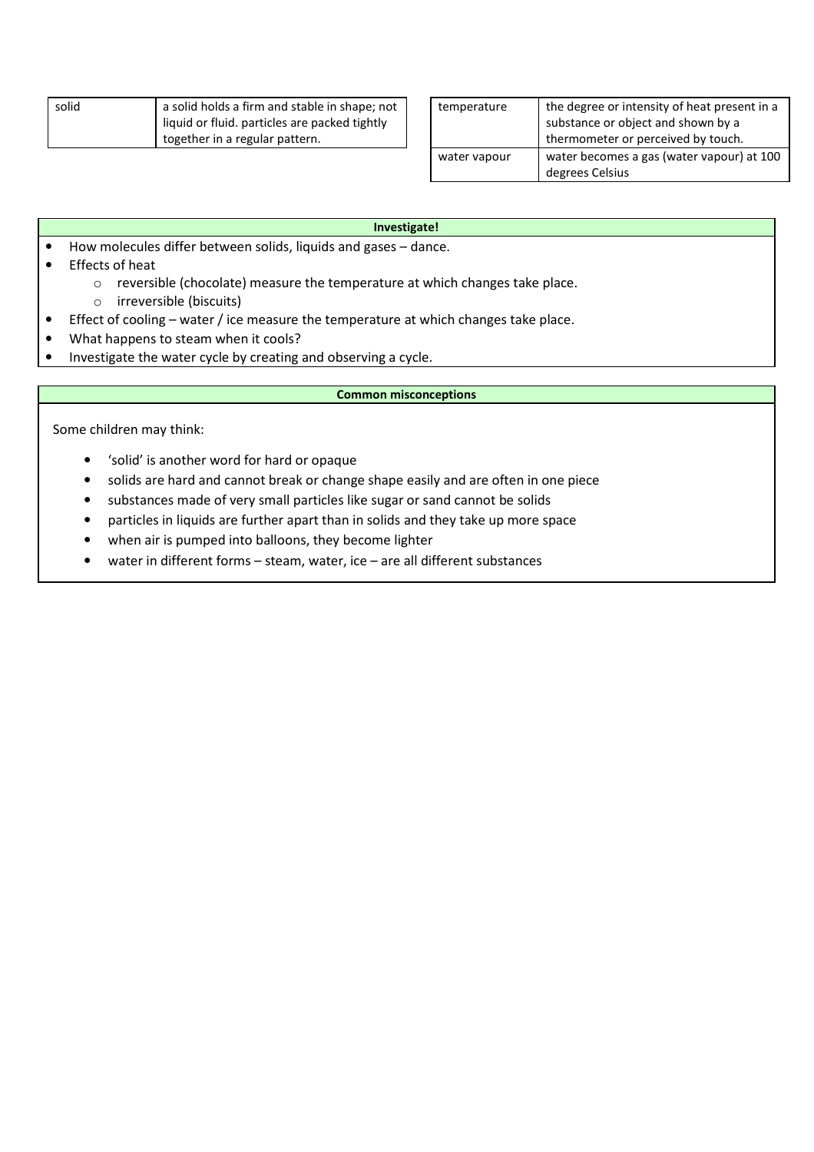| solid | a solid holds a firm and stable in shape; not |
|-------|-----------------------------------------------|
|       | liquid or fluid. particles are packed tightly |
|       | I together in a regular pattern.              |

| temperature  | the degree or intensity of heat present in a                             |  |  |
|--------------|--------------------------------------------------------------------------|--|--|
|              |                                                                          |  |  |
|              | substance or object and shown by a<br>thermometer or perceived by touch. |  |  |
| water vapour | water becomes a gas (water vapour) at 100                                |  |  |
|              | degrees Celsius                                                          |  |  |

## **Investigate!**

- How molecules differ between solids, liquids and gases dance.
- Effects of heat
	- o reversible (chocolate) measure the temperature at which changes take place.
		- o irreversible (biscuits)
- Effect of cooling water / ice measure the temperature at which changes take place.
- What happens to steam when it cools?
- Investigate the water cycle by creating and observing a cycle.

## **Common misconceptions**

Some children may think:

- 'solid' is another word for hard or opaque
- solids are hard and cannot break or change shape easily and are often in one piece
- substances made of very small particles like sugar or sand cannot be solids
- particles in liquids are further apart than in solids and they take up more space
- when air is pumped into balloons, they become lighter
- water in different forms steam, water, ice are all different substances